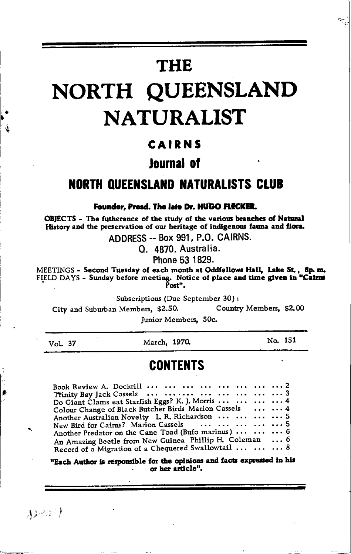# **THE**

# NORTH QUEENSLAND **NATURALIST**

#### CAIRNS

#### lournal of

#### **NORTH QUEENSLAND NATURALISTS CLUB**

#### Founder, Presd. The late Dr. HUGO FLECKER.

OBJECTS - The futherance of the study of the various branches of Natural History and the preservation of our heritage of indigenous fauna and flora.

ADDRESS -- Box 991, P.O. CAIRNS.

O. 4870. Australia.

Phone 53 1829.

MEETINGS - Second Tuesday of each month at Oddfellows Hall, Lake St., 8p.m.<br>FIELD DAYS - Sunday before meeting. Notice of place and time given in "Cairns Post".

Subscriptions (Due September 30):

Country Members. \$2.00 City and Suburban Members, \$2.50.

Junior Members, 50c.

Vol. 37

March, 1970.

No. 151

#### **CONTENTS**

| Book Review A. Dockrill $\cdots$ $\cdots$ $\cdots$ $\cdots$ $\cdots$ $\cdots$ $\cdots$ $\cdots$ $\cdots$ 2 |  |
|------------------------------------------------------------------------------------------------------------|--|
| Trinity Bay Jack Cassels        3                                                                          |  |
| Do Giant Clams eat Starfish Eggs? K. J. Morris     4                                                       |  |
| Colour Change of Black Butcher Birds Marion Cassels   4                                                    |  |
| Another Australian Novelty L. R. Richardson     5                                                          |  |
| New Bird for Cairns? Marion Cassels      5                                                                 |  |
| Another Predator on the Cane Toad (Bufo marinus)    6                                                      |  |
| An Amazing Beetle from New Guinea Phillip H. Coleman  6                                                    |  |
| Record of a Migration of a Chequered Swallowtail    8                                                      |  |

"Each Author is responsible for the opinions and facts expressed in his or her article".

 $3)$  and  $($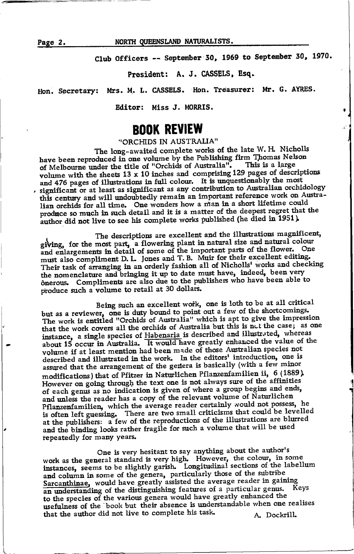Page 2.

NORTH QUEENSLAND NATURALISTS.

Club Officers -- September 30, 1969 to September 30, 1970.

President: A. J. CASSELS, Esq.

Mrs. M. L. CASSELS. Hon. Treasurer: Mr. G. AYRES. Hon. Secretary:

Editor: Miss J. MORRIS.

#### **BOOK REVIEW**

"ORCHIDS IN AUSTRALIA"

The long-awaited complete works of the late W. H. Nicholls have been reproduced in one volume by the Publishing firm Thomas Nelson of Melbourne under the title of "Orchids of Australia". This is a large volume with the sheets  $13 \times 10$  inches and comprising 129 pages of descriptions and 476 pages of illustrations in full colour. It is unquestionably the most , significant or at least as significant as any contribution to Australian orchidology this century and will undoubtedly remain an important reference work on Australian orchids for all time. One wonders how a man in a short lifetime could produce so much in such detail and it is a matter of the deepest regret that the author did not live to see his complete works published (he died in 1951).

The descriptions are excellent and the illustrations magnificent, giving, for the most part, a flowering plant in natural size and natural colour and enlargements in detail of some of the important parts of the flower. One must also compliment D. L. Jones and T. B. Muir for their excellent editing. Their task of arranging in an orderly fashion all of Nicholls' works and checking the nomenclature and bringing it up to date must have, indeed, been very ônerous. Compliments are also due to the publishers who have been able to produce such a volume to retail at 30 dollars.

Being such an excellent work, one is loth to be at all critical but as a reviewer, one is duty bound to point out a few of the shortcomings. The work is entitled "Orchids of Australia" which is apt to give the impression that the work covers all the orchids of Australia but this is not the case; as one instance, a single species of Habenaria is described and illustrated, whereas about 15 occur in Australia. It would have greatly enhanced the value of the volume if at least mention had been made of those Australian species not described and illustrated in the work. In the editors' introduction, one is assured that the arrangement of the genera is basically (with a few minor modifications) that of Pfitzer in Naturlichen Pflanzenfamilien ii, 6 (1889). However on going through the text one is not always sure of the affinities of each genus as no indication is given of where a group begins and ends, and unless the reader has a copy of the relevant volume of Naturlichen Pflanzenfamilien, which the average reader certainly would not possess, he is often left guessing. There are two small criticisms that could be levelled at the publishers: a few of the reproductions of the illustrations are blurred and the binding looks rather fragile for such a volume that will be used repeatedly for many years.

One is very hesitant to say anything about the author's work as the general standard is very high. However, the colour, in some instances, seems to be slightly garish. Longitudinal sections of the labellum and column in some of the genera, particularly those of the subtribe Sarcanthinae, would have greatly assisted the average reader in gaining an understanding of the distinguishing features of a particular genus. to the species of the various genera would have greatly enhanced the usefulness of the book but their absence is understandable when one realises that the author did not live to complete his task. A. Dockrill.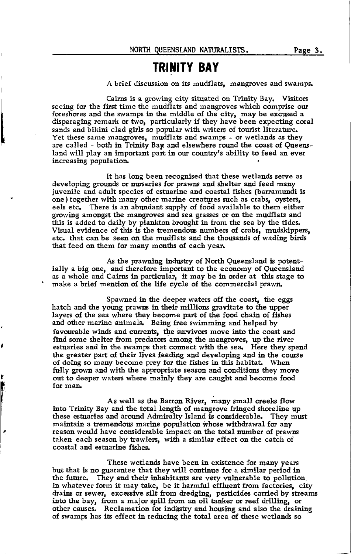#### **TRINITY BAY**

A brief discussion on its mudflats, mangroves and swamps.

Cairns is a growing city situated on Trinity Bay. Visitors seeing for the first time the mudflats and mangroves which comprise our foreshores and the swamps in the middle of the city, may be excused a disparaging remark or two, particularly if they have been expecting coral sands and bikini clad girls so popular with writers of tourist literature. Yet these same mangroves, mudflats and swamps - or wetlands as they are called - both in Trinity Bay and elsewhere round the coast of Queensland will play an important part in our country's ability to feed an ever increasing population.

It has long been recognised that these wetlands serve as developing grounds or nurseries for prawns and shelter and feed many juvenile and adult species of estuarine and coastal fishes (barramundi is one) together with many other marine creatures such as crabs, oysters, eels etc. There is an abundant supply of food available to them either growing amongst the mangroves and sea grasses or on the mudflats and this is added to daily by plankton brought in from the sea by the tides. Visual evidence of this is the tremendous numbers of crabs, mudskippers, etc. that can be seen on the mudflats and the thousands of wading birds that feed on them for many months of each year.

As the prawning industry of North Queensland is potentially a big one, and therefore important to the economy of Queensland as a whole and Cairns in particular, it may be in order at this stage to make a brief mention of the life cycle of the commercial prawn.

Spawned in the deeper waters off the coast, the eggs hatch and the young prawns in their millions gravitate to the upper layers of the sea where they become part of the food chain of fishes and other marine animals. Being free swimming and helped by favourable winds and currents, the survivors move into the coast and find some shelter from predators among the mangroves, up the river estuaries and in the swamps that connect with the sea. Here they spend the greater part of their lives feeding and developing and in the course of doing so many become prey for the fishes in this habitat. When fully grown and with the appropriate season and conditions they move out to deeper waters where mainly they are caught and become food for man.

As well as the Barron River, many small creeks flow into Trinity Bay and the total length of mangrove fringed shoreline up these estuaries and around Admiralty Islaud is considerable. They mwt maintain a tremendous marine population whose withdrawal for any reason would have considerable impact on tbe total number of prawns taken each season by trawlers, with a similar effect on the catch of coastal and estuarine fishes.

医心腹膜炎

ø

These wetlands have been in existence for many years but that is no guarantee that they will continue for a similar period in the future. They and their inhabitants are very vulnerable to pollution. in whatever form it may take, be it harmful effluent from factories, city drains or sewer, excesslve silt from dredglng, pesticides carried by streams into the bay, from a major spill from an oil tanker or reef drilling, or other causes. Reclamation for industry and housing and also the draining of swamps has its effect in reducing the total area of these wetlands so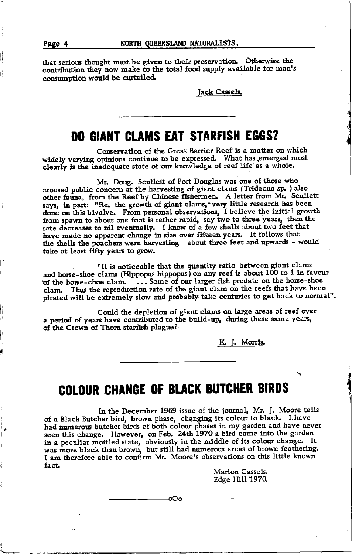that serious thought must be given to their preservation. Otherwise the contribution they now make to the total food supply available for man's consumption would be curtailed.

Jack Cassels.

#### **DO GIANT CLAMS EAT STARFISH EGGS?**

Conservation of the Great Barrier Reef is a matter on which widely varying opinions continue to be expressed. What has emerged most clearly is the inadequate state of our knowledge of reef life as a whole.

Mr. Doug. Scullett of Port Douglas was one of those who aroused public concern at the harvesting of giant clams (Tridacna sp. ) also other fauna, from the Reef by Chinese fishermen. A letter from Mr. Scullett says, in part: "Re, the growth of giant clams, very little research has been done on this bivalve. From personal observations, I believe the initial growth from spawn to about one foot is rather rapid, say two to three years, then the rate decreases to nil eventually. I know of a few shells about two feet that have made no apparent change in size over fifteen years. It follows that the shells the poachers were harvesting about three feet and upwards - would take at least fifty years to grow.

"It is noticeable that the quantity ratio between giant clams and horse-shoe clams (Hippopus hippopus) on any reef is about 100 to 1 in favour of the horse-choe clam. ... Some of our larger fish predate on the horse-shoe clam. Thus the reproduction rate of the giant clam on the reefs that have been pirated will be extremely slow and probably take centuries to get back to normal".

Could the depletion of giant clams on large areas of reef over a period of years have contributed to the build-up, during these same years, of the Crown of Thorn starfish plague?

K. J. Morris.

## **COLOUR CHANGE OF BLACK BUTCHER BIRDS**

In the December 1969 issue of the journal, Mr. J. Moore tells of a Black Butcher bird, brown phase, changing its colour to black. I have had numerous butcher birds of both colour phases in my garden and have never seen this change. However, on Feb. 24th 1970 a bird came into the garden in a peculiar mottled state, obviously in the middle of its colour change. It was more black than brown, but still had numerous areas of brown feathering. I am therefore able to confirm Mr. Moore's observations on this little known fact.

oOo-

Marion Cassels. Edge Hill 1970.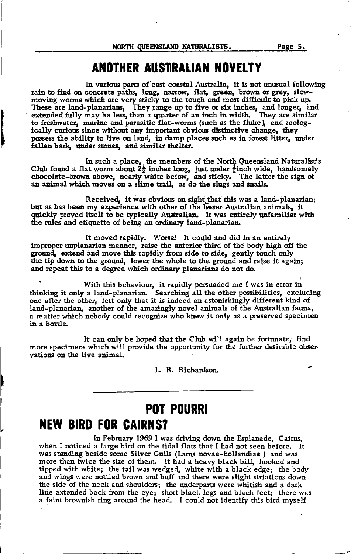### ANOTHER AUSTRALIAN NOVELTY

In various parts of east coastal Australia, it is not unusual following rain to find on concrete paths, long, narrow, flat, green, brown or grey, slow-<br>moving worms which are very sticky to the tough and most difficult to pick up.<br>These are land-planarians, They range up to five or six inches, to freshwater, marine and parasitic flat-worms (such as the fluke), and zoologically curious since without any important obvious distinctive change, they possess the ability to live on land, in damp places such as in forest litter, under fallen bark, under stones, and similar shelter.

In such a place, the members of the North Queensland Naturalist's Club found a flat worm about  $2\frac{1}{2}$  inches long, just under  $\frac{1}{2}$ inch wide, handsomely chocolate-brown above, nearly white below, and sticky. The latter the sign of an animal which moves on a slime trail, as do the slugs and snails.

Received, it was obvious on sight that this was a land-planarian; but as has been my experience with other of the lesser Australian animals. it quickly proved itself to be typically Australian. It was entirely unfamiliar with the rules and etiquette of being an ordinary land-planarian.

It moved rapidly. Worse! It could and did in an entirely improper unplanarian manner, raise the anterior third of the body high off the ground, extend and move this rapidly from side to side, gently touch only the tip down to the ground. lower the whole to the ground and raise it again; and repeat this to a degree which ordinary planarians do not do.

<sup>1</sup> With this behaviour, it rapidly persuaded me I was in error in thinking it only a land-planarian. Searching all the other possibilities, excluding one after the other. left only that it is indeed an astonishingly different kind of land-planarian, another of the amazingly novel animals of the Australian fauna. a matter which nobody could recognize who knew it only as a preserved specimen in a bottle.

It can only be hoped that the Club will again be fortunate, find more specimens which will provide the opportunity for the further desirable observations on the live animal.

L. R. Richardson.

## **POT POURRI NEW BIRD FOR CAIRNS?**

In February 1969 I was driving down the Esplanade, Cairns, when I noticed a large bird on the tidal flats that I had not seen before. It was standing beside some Silver Gulls (Larus novae-hollandiae) and was more than twice the size of them. It had a heavy black bill, hooked and tipped with white; the tail was wedged, white with a black edge; the body and wings were nottled brown and buff and there were slight striations down the side of the neck and shoulders; the underparts were whitish and a dark line extended back from the eye; short black legs and black feet; there was a faint brownish ring around the head. I could not identify this bird myself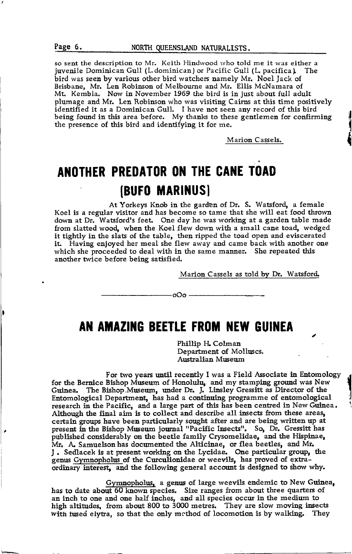so sent the description to Mr. Keith Hindwood who told me it was either a juvenile Dominican Gull (L.dominican) or Pacific Gull (L. pacifica) The bird was seen by various other bird watchers namely Mr. Noel Jack of Brisbane, Mr. Len Robinson of Melbourne and Mr. Ellis McNamara of Mt. Kembla. Now in November L969 the bird is in just about full adult plumage and Mr. Len Robinson who was visiting Cairns at this time positively identified it as a Dominican Gull. I have not seen any record of this bird being found in this area before. My thanks to these gentlemen for confirming the presence of this bird and identifying it for me.

Marion Cassels.

# ANOTHER PREDATOR ON THE CANE TOAD (BUFO MARINUS)

At Yorkeys Knob in the garden of Dr. S. Watsford, a female Koel is a regular visitor and has become so tame that she will eat food thrown down at Dr. Watsford's feet. One day he was working at a garden table made from slatted wood, when the Koel flew down with a small cane toad, wedged it tightly in the slats of the table, then ripped the toad open and eviscerated it. Having enjoyed her meal she flew away and came back with another one which she proceeded to deal with in the same manner. She repeated this another twice before being satisfied.

Marion Cassels as told bv Dr. Watsford.

AN AMAZING BEETLE FROM NEW GUINEA

- ہ0o⊶

Phillip H. Colman Department of Molhucs, Australian Museum

For two years until recently I was a Field Associate in Entomology for the Bernice Bishop Museum of Honolulu, and my stamping ground was New Guinea. The Bishop.Museurn, under Dr. J. Linsley Gressitt as Director of the Entomological Department, has had a continuing programme of entomological research in the Pacific, and a large part of this has been centred in New Guinea. Although the final aim is to collect and describe all insects from these areas, certain groups have been particularly sought after and are being written up at present in the Bishop Museum journal "Pacific Insects". So, Dr. Gressitt has published considerably on the beetle family Crysomelidae, and the Hispinae, Mr. A. Samuelson has documented the Alticinae, or flea beetles, and Mr. J. Sedlacek is at present working on the Lycidae. One particular group, the genus Gymnopholus of the Curculionidae or weevils, has proved of extraordinary interest, and the following general account is designed to show why.

Gymnopholus, a genus of large weevils endemic to New Guinea, has to date about 60 known species. Size ranges from about three quarters of an inch to one and one half inches, and all species occur in the medium to high altitudes, from about 800 to 3000 metres. They are slow moving insects with fused elytra, so that the only method of locomotion is by walking. They



{ I *<u></u>*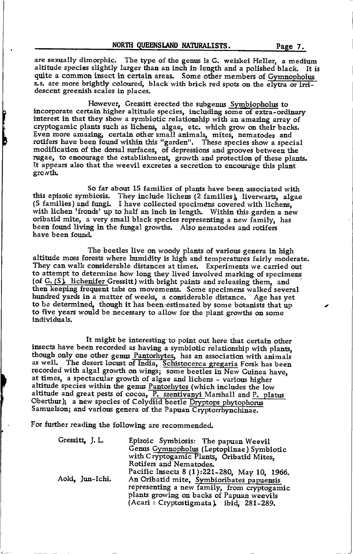are sexually dimorphic. The type of the genus is G. weiskei Heller, a medium altitude species slightly larger than an inch in length and a polished black. It is quite a common insect in certain areas. Some other members of Gymnopholus s.s. are more brightly coloured, black with brick red spots on the elytra or irri-<br>descent greenish scales in places.

However, Gressitt erected the subgenus Symbiopholus to incorporate certain higher altitude species, including some of extra-ordinary interest in that they show a symbiotic relationship with an amazing array of cryptogamic plants such as lichens, algae, etc. which grow on their backs. Even more amazing, certain other small animals, mites, nematodes and rotifers have been found within this "garden". These species show a special modification of the dorsal surfaces, of depressions and grooves between the rugae, to encourage the establishment, growth and protection of these plants. It appears also that the weevil excretes a secretion to encourage this plant growth.

Ŀ

So far about 15 families of plants have been associated with lis epizoic symbiosis. They include lichens (2 families), liverwarts, algae (5 families) and fungi. I have collected specimens covered with lichens, with lichen 'fronds' up to half an inch in length. Within this garden a new oribatid mite, a very small black species representing a new family, has been found living in the fungal growths. Also nematodes and rotifers have been found

The beetles live on woody plants of various genera in high altitude moss forests where humidity is high and temperatures fairly moderate. They can walk considerable distances at times. Experiments we-carried out to attempt to determine how long they lived involved marking of specimens (of  $G. (S)$ . lichenifer Gressitt) with bright paints and releasing them, and then keeping frequent tabs on movements. Some specimens walked several hundred yards in a matter of weeks, a considerable distance. Age has yet to be determined, though it has been estimated by some botanists that up to five years would be necessary to allow for the plant growths on some individuals.

It might be interesting to point out here that certain other insects have been recorded as having a symbiotic relationship with plants, though only one other genus Pantorhytes, has an association with animals as well. The desert locust of India, Schistocerca gregaria Forsk has been recorded with algal growth on wings; some beetles in New Guinea have, at times, a spectacular growth of algae and lichens - various higher altitude species within the genus Pantorhytes (which includes the low altitude and great pests of cocoa, P. szentivanyi Marshall and P. platus Oberthur); a new species of Colydiid beetle Dryptops phytophorus Samuelson; and various genera of the Papuan Cryptorrhynchinae.

For further reading the following are recommended

| Gressitt, J. L. | Epizoic Symbiosis: The papuan Weevil<br>Genus Gymnopholus (Leptopiinae) Symbiotic<br>with Cryptogamic Plants, Oribatid Mites,<br>Rotifers and Nematodes.                                                                         |
|-----------------|----------------------------------------------------------------------------------------------------------------------------------------------------------------------------------------------------------------------------------|
| Aoki, Jun-Ichi. | Pacific Insects 8 (1):221-280, May 10, 1966.<br>An Oribatid mite, Symbioribates papuensis<br>representing a new family, from cryptogamic<br>plants growing on backs of Papuan weevils<br>(Acari: Cryptostigmata), ibid, 281-289. |